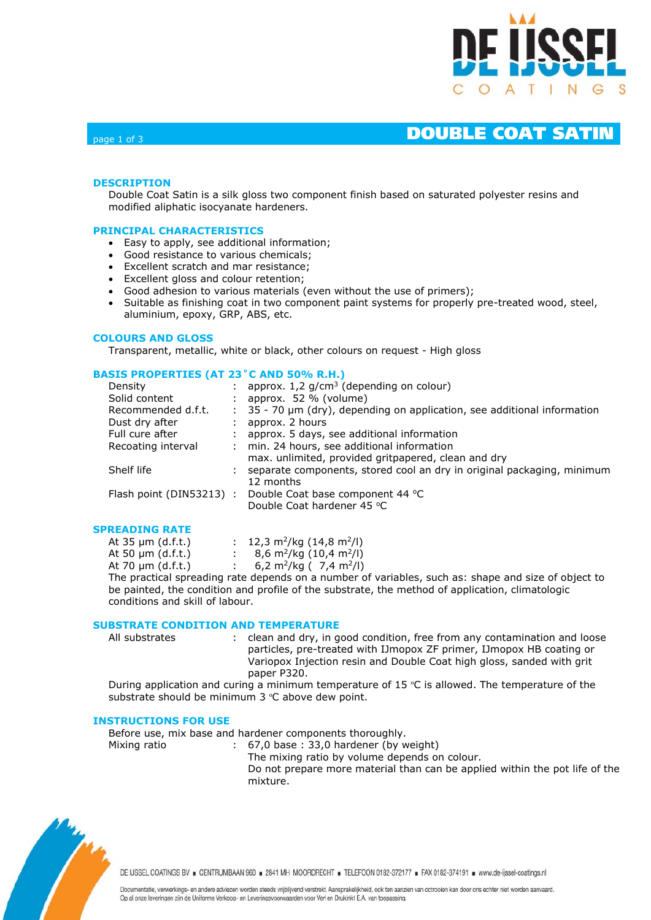

# page 1 of 3 **DOUBLE COAT SATIN**

# **DESCRIPTION**

Double Coat Satin is a silk gloss two component finish based on saturated polyester resins and modified aliphatic isocyanate hardeners.

# **PRINCIPAL CHARACTERISTICS**

- Easy to apply, see additional information;
- Good resistance to various chemicals;
- Excellent scratch and mar resistance;
- Excellent gloss and colour retention;
- Good adhesion to various materials (even without the use of primers);
- Suitable as finishing coat in two component paint systems for properly pre-treated wood, steel, aluminium, epoxy, GRP, ABS, etc.

# **COLOURS AND GLOSS**

Transparent, metallic, white or black, other colours on request - High gloss

# **BASIS PROPERTIES (AT 23˚C AND 50% R.H.)**

| Density                  | : approx. $1,2$ g/cm <sup>3</sup> (depending on colour)                                   |
|--------------------------|-------------------------------------------------------------------------------------------|
| Solid content            | approx. $52 \%$ (volume)                                                                  |
| Recommended d.f.t.       | $\frac{1}{2}$ 35 - 70 $\mu$ m (dry), depending on application, see additional information |
| Dust dry after           | approx. 2 hours                                                                           |
| Full cure after          | approx. 5 days, see additional information                                                |
| Recoating interval       | : min. 24 hours, see additional information                                               |
|                          | max. unlimited, provided gritpapered, clean and dry                                       |
| Shelf life               | separate components, stored cool an dry in original packaging, minimum                    |
|                          | 12 months                                                                                 |
| Flash point (DIN53213) : | Double Coat base component 44 °C                                                          |
|                          | Double Coat hardener 45 °C                                                                |
|                          |                                                                                           |

# **SPREADING RATE**

| At $35 \mu m$ (d.f.t.) | : 12,3 m <sup>2</sup> /kg (14,8 m <sup>2</sup> /l)                      |
|------------------------|-------------------------------------------------------------------------|
| At 50 $\mu$ m (d.f.t.) | : 8,6 m <sup>2</sup> /kg $(10,4 \text{ m}^2/l)$                         |
| At 70 $\mu$ m (d.f.t.) | : 6,2 m <sup>2</sup> /kg ( 7,4 m <sup>2</sup> /l)                       |
|                        | The more officed and activities of the shape and a single consideration |

The practical spreading rate depends on a number of variables, such as: shape and size of object to be painted, the condition and profile of the substrate, the method of application, climatologic conditions and skill of labour.

# **SUBSTRATE CONDITION AND TEMPERATURE**

| All substrates | clean and dry, in good condition, free from any contamination and loose                             |
|----------------|-----------------------------------------------------------------------------------------------------|
|                | particles, pre-treated with IJmopox ZF primer, IJmopox HB coating or                                |
|                | Variopox Injection resin and Double Coat high gloss, sanded with grit                               |
|                | paper P320.                                                                                         |
|                | During analization and quring a minimum tomporature of $1E_{0}C$ is allowed. The tomporature of the |

During application and curing a minimum temperature of 15  $\degree$ C is allowed. The temperature of the substrate should be minimum 3 °C above dew point.

### **INSTRUCTIONS FOR USE**

Before use, mix base and hardener components thoroughly.

Mixing ratio : 67,0 base : 33,0 hardener (by weight) The mixing ratio by volume depends on colour. Do not prepare more material than can be applied within the pot life of the mixture.



DE IJSSEL COATINGS BV E CENTRUMBAAN 960 = 2841 MH MOORDRECHT = TELEFOON 0182-372177 = FAX 0182-374191 = www.de-ijssel-coatings.nl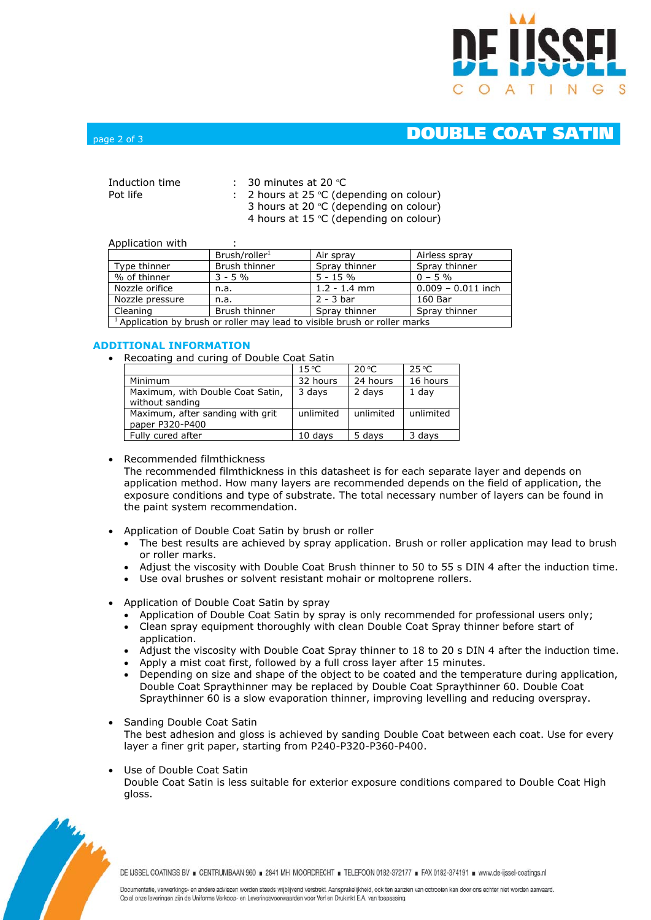

# page 2 of 3 **DOUBLE COAT SATIN**

| Induction time<br>Pot life | : 30 minutes at 20 $^{\circ}$ C<br>: 2 hours at 25 $°C$ (depending on colour)             |
|----------------------------|-------------------------------------------------------------------------------------------|
|                            | 3 hours at 20 °C (depending on colour)<br>4 hours at 15 $\degree$ C (depending on colour) |

### Application with

| Application with                                                                      |                           |                |                      |  |  |
|---------------------------------------------------------------------------------------|---------------------------|----------------|----------------------|--|--|
|                                                                                       | Brush/roller <sup>1</sup> | Air spray      | Airless spray        |  |  |
| Type thinner                                                                          | Brush thinner             | Spray thinner  | Spray thinner        |  |  |
| % of thinner                                                                          | $3 - 5\%$                 | $5 - 15%$      | $0 - 5\%$            |  |  |
| Nozzle orifice                                                                        | n.a.                      | $1.2 - 1.4$ mm | $0.009 - 0.011$ inch |  |  |
| Nozzle pressure                                                                       | n.a.                      | $2 - 3$ bar    | 160 Bar              |  |  |
| Cleaning                                                                              | Brush thinner             | Spray thinner  | Spray thinner        |  |  |
| <sup>1</sup> Application by brush or roller may lead to visible brush or roller marks |                           |                |                      |  |  |

# **ADDITIONAL INFORMATION**

• Recoating and curing of Double Coat Satin

|                                                     | $15^{\circ}$ C | $20^{\circ}$ C | $25^{\circ}$ C |
|-----------------------------------------------------|----------------|----------------|----------------|
| Minimum                                             | 32 hours       | 24 hours       | 16 hours       |
| Maximum, with Double Coat Satin,<br>without sanding | 3 days         | 2 days         | 1 day          |
| Maximum, after sanding with grit<br>paper P320-P400 | unlimited      | unlimited      | unlimited      |
| Fully cured after                                   | 10 davs        | 5 days         | 3 days         |

# • Recommended filmthickness

The recommended filmthickness in this datasheet is for each separate layer and depends on application method. How many layers are recommended depends on the field of application, the exposure conditions and type of substrate. The total necessary number of layers can be found in the paint system recommendation.

- Application of Double Coat Satin by brush or roller
	- The best results are achieved by spray application. Brush or roller application may lead to brush or roller marks.
	- Adjust the viscosity with Double Coat Brush thinner to 50 to 55 s DIN 4 after the induction time.
	- Use oval brushes or solvent resistant mohair or moltoprene rollers.
- Application of Double Coat Satin by spray
	- Application of Double Coat Satin by spray is only recommended for professional users only;
	- Clean spray equipment thoroughly with clean Double Coat Spray thinner before start of application.
	- Adjust the viscosity with Double Coat Spray thinner to 18 to 20 s DIN 4 after the induction time.
	- Apply a mist coat first, followed by a full cross layer after 15 minutes.
	- Depending on size and shape of the object to be coated and the temperature during application, Double Coat Spraythinner may be replaced by Double Coat Spraythinner 60. Double Coat Spraythinner 60 is a slow evaporation thinner, improving levelling and reducing overspray.
- Sanding Double Coat Satin The best adhesion and gloss is achieved by sanding Double Coat between each coat. Use for every layer a finer grit paper, starting from P240-P320-P360-P400.
- Use of Double Coat Satin Double Coat Satin is less suitable for exterior exposure conditions compared to Double Coat High gloss.



DE IJSSEL COATINGS BV E CENTRUMBAAN 960 = 2841 MH MOORDRECHT = TELEFOON 0182-372177 = FAX 0182-374191 = www.de-ijssel-coatings.nl